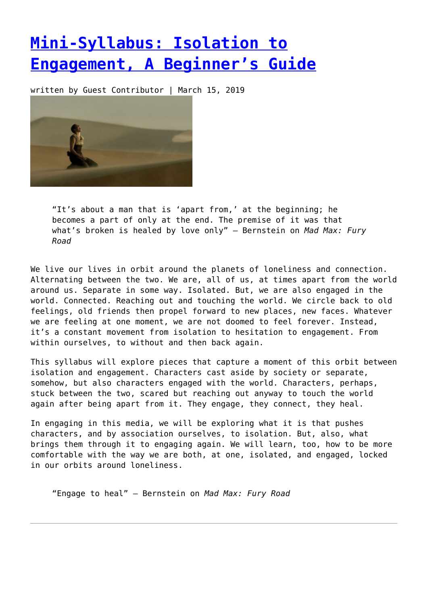## **[Mini-Syllabus: Isolation to](https://entropymag.org/mini-syllabus-isolation-to-engagement-a-beginners-guide/) [Engagement, A Beginner's Guide](https://entropymag.org/mini-syllabus-isolation-to-engagement-a-beginners-guide/)**

written by Guest Contributor | March 15, 2019



"It's about a man that is 'apart from,' at the beginning; he becomes a part of only at the end. The premise of it was that what's broken is healed by love only" – Bernstein on *Mad Max: Fury Road*

We live our lives in orbit around the planets of loneliness and connection. Alternating between the two. We are, all of us, at times apart from the world around us. Separate in some way. Isolated. But, we are also engaged in the world. Connected. Reaching out and touching the world. We circle back to old feelings, old friends then propel forward to new places, new faces. Whatever we are feeling at one moment, we are not doomed to feel forever. Instead, it's a constant movement from isolation to hesitation to engagement. From within ourselves, to without and then back again.

This syllabus will explore pieces that capture a moment of this orbit between isolation and engagement. Characters cast aside by society or separate, somehow, but also characters engaged with the world. Characters, perhaps, stuck between the two, scared but reaching out anyway to touch the world again after being apart from it. They engage, they connect, they heal.

In engaging in this media, we will be exploring what it is that pushes characters, and by association ourselves, to isolation. But, also, what brings them through it to engaging again. We will learn, too, how to be more comfortable with the way we are both, at one, isolated, and engaged, locked in our orbits around loneliness.

"Engage to heal" – Bernstein on *Mad Max: Fury Road*